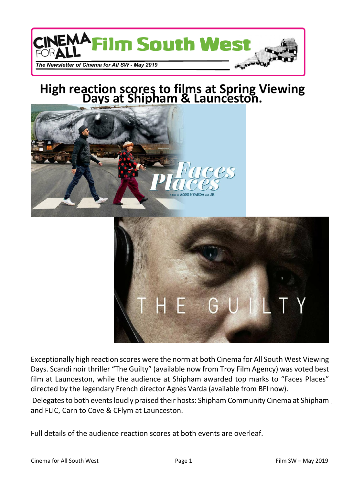

# **High reaction scores to films at Spring Viewing Days at Shipham & Launceston.**



Exceptionally high reaction scores were the norm at both Cinema for All South West Viewing Days. Scandi noir thriller "The Guilty" (available now from Troy Film Agency) was voted best film at Launceston, while the audience at Shipham awarded top marks to "Faces Places" directed by the legendary French director Agnès Varda (available from BFI now).

 Delegates to both events loudly praised their hosts: Shipham Community Cinema at Shipham and FLIC, Carn to Cove & CFlym at Launceston.

Full details of the audience reaction scores at both events are overleaf.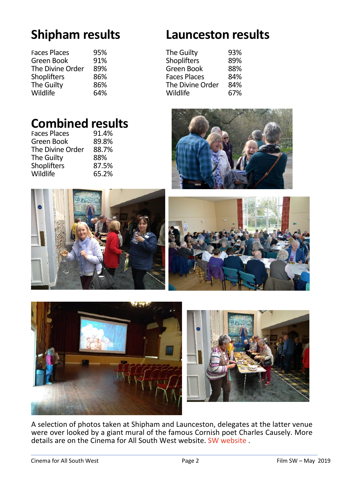| <b>Faces Places</b> | 95% |
|---------------------|-----|
| Green Book          | 91% |
| The Divine Order    | 89% |
| <b>Shoplifters</b>  | 86% |
| The Guilty          | 86% |
| Wildlife            | 64% |

### **Shipham results Launceston results**

| 95% | The Guilty          | 93% |
|-----|---------------------|-----|
| 91% | Shoplifters         | 89% |
| 89% | Green Book          | 88% |
| 86% | <b>Faces Places</b> | 84% |
| 86% | The Divine Order    | 84% |
| 64% | Wildlife            | 67% |
|     |                     |     |

## **Combined results**

| 91.4% |
|-------|
| 89.8% |
| 88.7% |
| 88%   |
| 87.5% |
| 65.2% |
|       |







A selection of photos taken at Shipham and Launceston, delegates at the latter venue were over looked by a giant mural of the famous Cornish poet Charles Causely. More details are on the Cinema for All South West website. SW website.